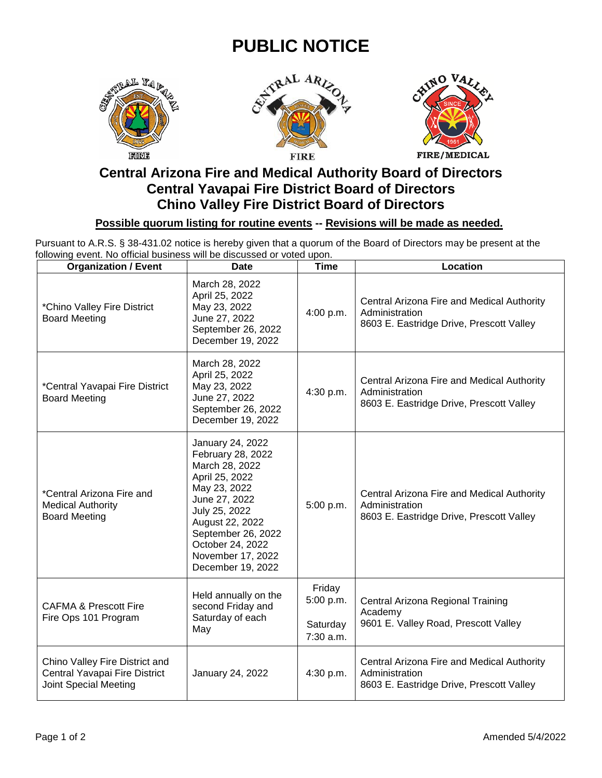## **PUBLIC NOTICE**







## **Central Arizona Fire and Medical Authority Board of Directors Central Yavapai Fire District Board of Directors Chino Valley Fire District Board of Directors**

## **Possible quorum listing for routine events -- Revisions will be made as needed.**

Pursuant to A.R.S. § 38-431.02 notice is hereby given that a quorum of the Board of Directors may be present at the following event. No official business will be discussed or voted upon.

| <b>Organization / Event</b>                                                              | <b>Date</b>                                                                                                                                                                                                                        | <b>Time</b>                                  | Location                                                                                                 |
|------------------------------------------------------------------------------------------|------------------------------------------------------------------------------------------------------------------------------------------------------------------------------------------------------------------------------------|----------------------------------------------|----------------------------------------------------------------------------------------------------------|
| *Chino Valley Fire District<br><b>Board Meeting</b>                                      | March 28, 2022<br>April 25, 2022<br>May 23, 2022<br>June 27, 2022<br>September 26, 2022<br>December 19, 2022                                                                                                                       | 4:00 p.m.                                    | Central Arizona Fire and Medical Authority<br>Administration<br>8603 E. Eastridge Drive, Prescott Valley |
| *Central Yavapai Fire District<br><b>Board Meeting</b>                                   | March 28, 2022<br>April 25, 2022<br>May 23, 2022<br>June 27, 2022<br>September 26, 2022<br>December 19, 2022                                                                                                                       | 4:30 p.m.                                    | Central Arizona Fire and Medical Authority<br>Administration<br>8603 E. Eastridge Drive, Prescott Valley |
| *Central Arizona Fire and<br><b>Medical Authority</b><br><b>Board Meeting</b>            | January 24, 2022<br>February 28, 2022<br>March 28, 2022<br>April 25, 2022<br>May 23, 2022<br>June 27, 2022<br>July 25, 2022<br>August 22, 2022<br>September 26, 2022<br>October 24, 2022<br>November 17, 2022<br>December 19, 2022 | 5:00 p.m.                                    | Central Arizona Fire and Medical Authority<br>Administration<br>8603 E. Eastridge Drive, Prescott Valley |
| <b>CAFMA &amp; Prescott Fire</b><br>Fire Ops 101 Program                                 | Held annually on the<br>second Friday and<br>Saturday of each<br>May                                                                                                                                                               | Friday<br>5:00 p.m.<br>Saturday<br>7:30 a.m. | Central Arizona Regional Training<br>Academy<br>9601 E. Valley Road, Prescott Valley                     |
| Chino Valley Fire District and<br>Central Yavapai Fire District<br>Joint Special Meeting | January 24, 2022                                                                                                                                                                                                                   | 4:30 p.m.                                    | Central Arizona Fire and Medical Authority<br>Administration<br>8603 E. Eastridge Drive, Prescott Valley |